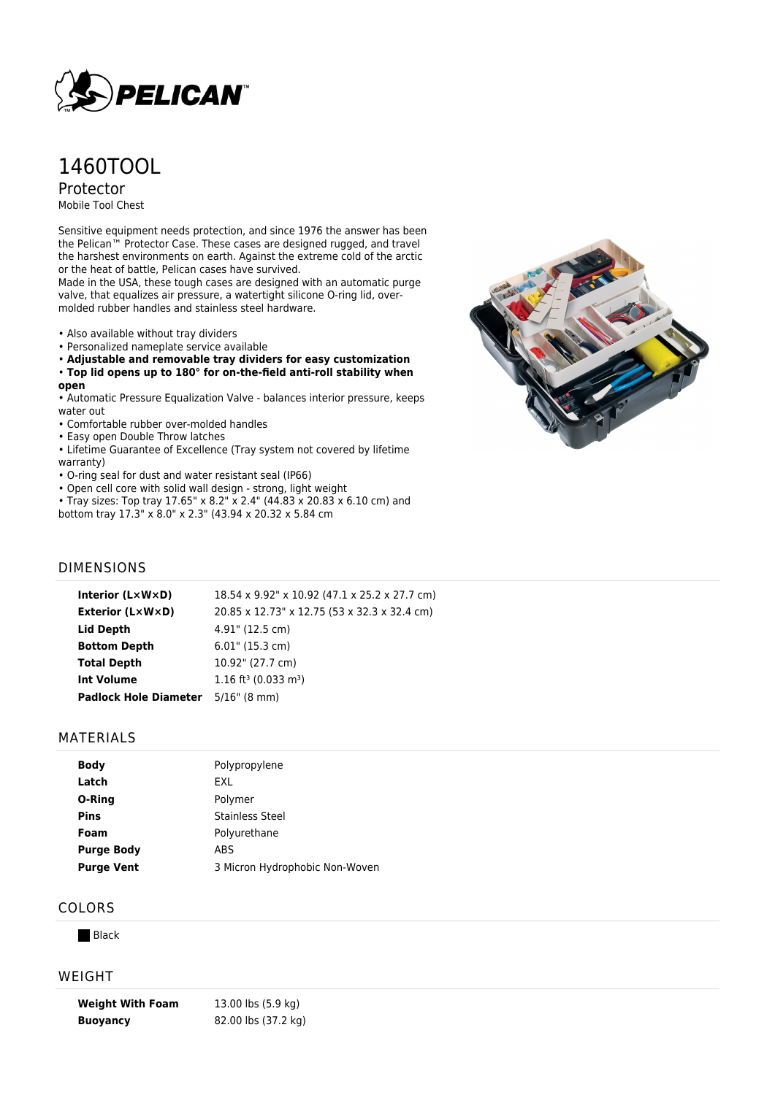

# 1460TOOL

Protector

Mobile Tool Chest

Sensitive equipment needs protection, and since 1976 the answer has been the Pelican™ Protector Case. These cases are designed rugged, and travel the harshest environments on earth. Against the extreme cold of the arctic or the heat of battle, Pelican cases have survived.

Made in the USA, these tough cases are designed with an automatic purge valve, that equalizes air pressure, a watertight silicone O-ring lid, overmolded rubber handles and stainless steel hardware.

- Also available without tray dividers
- Personalized nameplate service available
- **Adjustable and removable tray dividers for easy customization**

#### • **Top lid opens up to 180° for on-the-field anti-roll stability when**

**open**

• Automatic Pressure Equalization Valve - balances interior pressure, keeps water out

• Comfortable rubber over-molded handles

• Easy open Double Throw latches

- Lifetime Guarantee of Excellence (Tray system not covered by lifetime warranty)
- O-ring seal for dust and water resistant seal (IP66)
- Open cell core with solid wall design strong, light weight
- Tray sizes: Top tray 17.65" x 8.2" x 2.4" (44.83 x 20.83 x 6.10 cm) and bottom tray 17.3" x 8.0" x 2.3" (43.94 x 20.32 x 5.84 cm



#### DIMENSIONS

| Interior $(L \times W \times D)$ | 18.54 x 9.92" x 10.92 (47.1 x 25.2 x 27.7 cm)  |
|----------------------------------|------------------------------------------------|
| Exterior (L×W×D)                 | 20.85 x 12.73" x 12.75 (53 x 32.3 x 32.4 cm)   |
| Lid Depth                        | 4.91" (12.5 cm)                                |
| <b>Bottom Depth</b>              | $6.01$ " (15.3 cm)                             |
| <b>Total Depth</b>               | 10.92" (27.7 cm)                               |
| <b>Int Volume</b>                | $1.16$ ft <sup>3</sup> (0.033 m <sup>3</sup> ) |
| <b>Padlock Hole Diameter</b>     | $5/16$ " (8 mm)                                |
|                                  |                                                |

#### MATERIALS

| <b>Body</b>       | Polypropylene                  |
|-------------------|--------------------------------|
| Latch             | EXL                            |
| O-Ring            | Polymer                        |
| <b>Pins</b>       | Stainless Steel                |
| Foam              | Polyurethane                   |
| <b>Purge Body</b> | ABS                            |
| <b>Purge Vent</b> | 3 Micron Hydrophobic Non-Woven |

### COLORS

 $B$ lack

#### WEIGHT

**Weight With Foam** 13.00 lbs (5.9 kg) **Buoyancy** 82.00 lbs (37.2 kg)